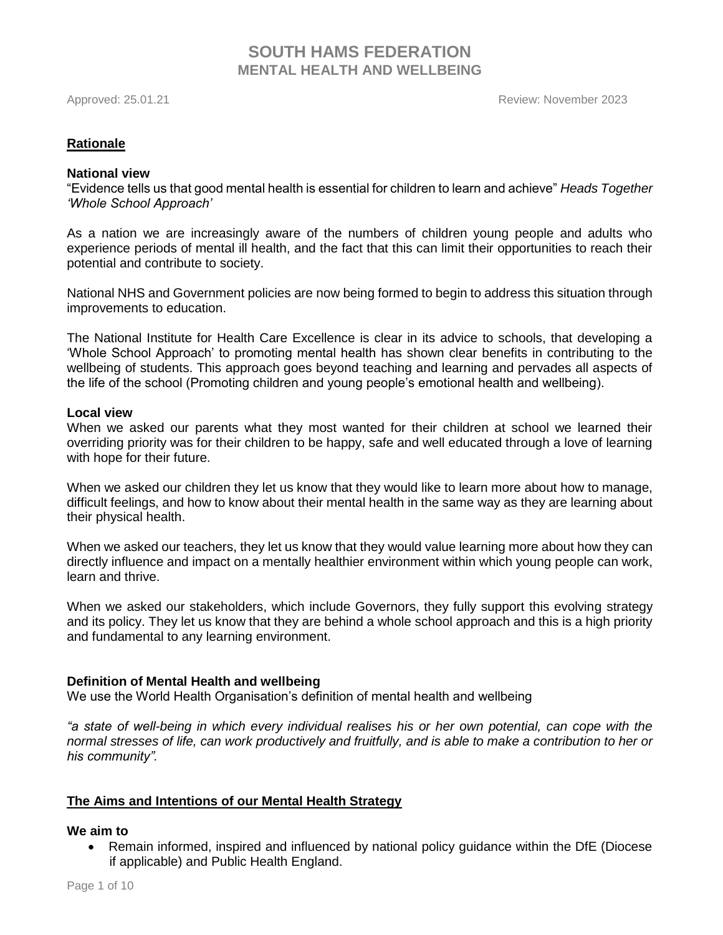Approved: 25.01.21 Review: November 2023

# **Rationale**

### **National view**

"Evidence tells us that good mental health is essential for children to learn and achieve" *Heads Together 'Whole School Approach'*

As a nation we are increasingly aware of the numbers of children young people and adults who experience periods of mental ill health, and the fact that this can limit their opportunities to reach their potential and contribute to society.

National NHS and Government policies are now being formed to begin to address this situation through improvements to education.

The National Institute for Health Care Excellence is clear in its advice to schools, that developing a 'Whole School Approach' to promoting mental health has shown clear benefits in contributing to the wellbeing of students. This approach goes beyond teaching and learning and pervades all aspects of the life of the school (Promoting children and young people's emotional health and wellbeing).

### **Local view**

When we asked our parents what they most wanted for their children at school we learned their overriding priority was for their children to be happy, safe and well educated through a love of learning with hope for their future.

When we asked our children they let us know that they would like to learn more about how to manage, difficult feelings, and how to know about their mental health in the same way as they are learning about their physical health.

When we asked our teachers, they let us know that they would value learning more about how they can directly influence and impact on a mentally healthier environment within which young people can work, learn and thrive.

When we asked our stakeholders, which include Governors, they fully support this evolving strategy and its policy. They let us know that they are behind a whole school approach and this is a high priority and fundamental to any learning environment.

## **Definition of Mental Health and wellbeing**

We use the World Health Organisation's definition of mental health and wellbeing

*"a state of well-being in which every individual realises his or her own potential, can cope with the*  normal stresses of life, can work productively and fruitfully, and is able to make a contribution to her or *his community".*

## **The Aims and Intentions of our Mental Health Strategy**

## **We aim to**

• Remain informed, inspired and influenced by national policy guidance within the DfE (Diocese if applicable) and Public Health England.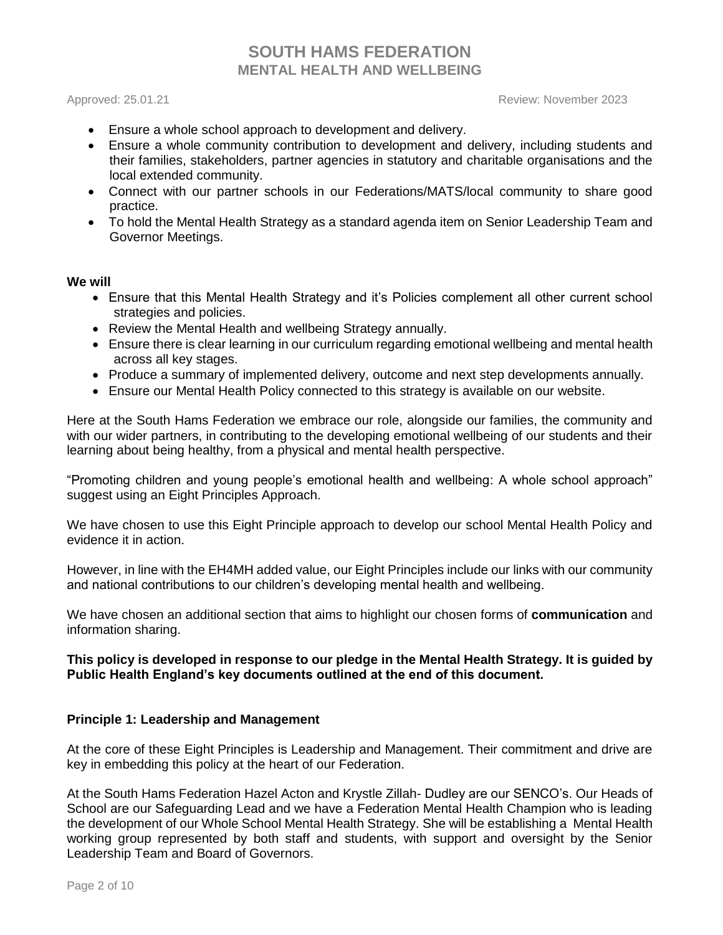Approved: 25.01.21 Review: November 2023

- Ensure a whole school approach to development and delivery.
- Ensure a whole community contribution to development and delivery, including students and their families, stakeholders, partner agencies in statutory and charitable organisations and the local extended community.
- Connect with our partner schools in our Federations/MATS/local community to share good practice.
- To hold the Mental Health Strategy as a standard agenda item on Senior Leadership Team and Governor Meetings.

### **We will**

- Ensure that this Mental Health Strategy and it's Policies complement all other current school strategies and policies.
- Review the Mental Health and wellbeing Strategy annually.
- Ensure there is clear learning in our curriculum regarding emotional wellbeing and mental health across all key stages.
- Produce a summary of implemented delivery, outcome and next step developments annually.
- Ensure our Mental Health Policy connected to this strategy is available on our website.

Here at the South Hams Federation we embrace our role, alongside our families, the community and with our wider partners, in contributing to the developing emotional wellbeing of our students and their learning about being healthy, from a physical and mental health perspective.

"Promoting children and young people's emotional health and wellbeing: A whole school approach" suggest using an Eight Principles Approach.

We have chosen to use this Eight Principle approach to develop our school Mental Health Policy and evidence it in action.

However, in line with the EH4MH added value, our Eight Principles include our links with our community and national contributions to our children's developing mental health and wellbeing.

We have chosen an additional section that aims to highlight our chosen forms of **communication** and information sharing.

# **This policy is developed in response to our pledge in the Mental Health Strategy. It is guided by Public Health England's key documents outlined at the end of this document.**

## **Principle 1: Leadership and Management**

At the core of these Eight Principles is Leadership and Management. Their commitment and drive are key in embedding this policy at the heart of our Federation.

At the South Hams Federation Hazel Acton and Krystle Zillah- Dudley are our SENCO's. Our Heads of School are our Safeguarding Lead and we have a Federation Mental Health Champion who is leading the development of our Whole School Mental Health Strategy. She will be establishing a Mental Health working group represented by both staff and students, with support and oversight by the Senior Leadership Team and Board of Governors.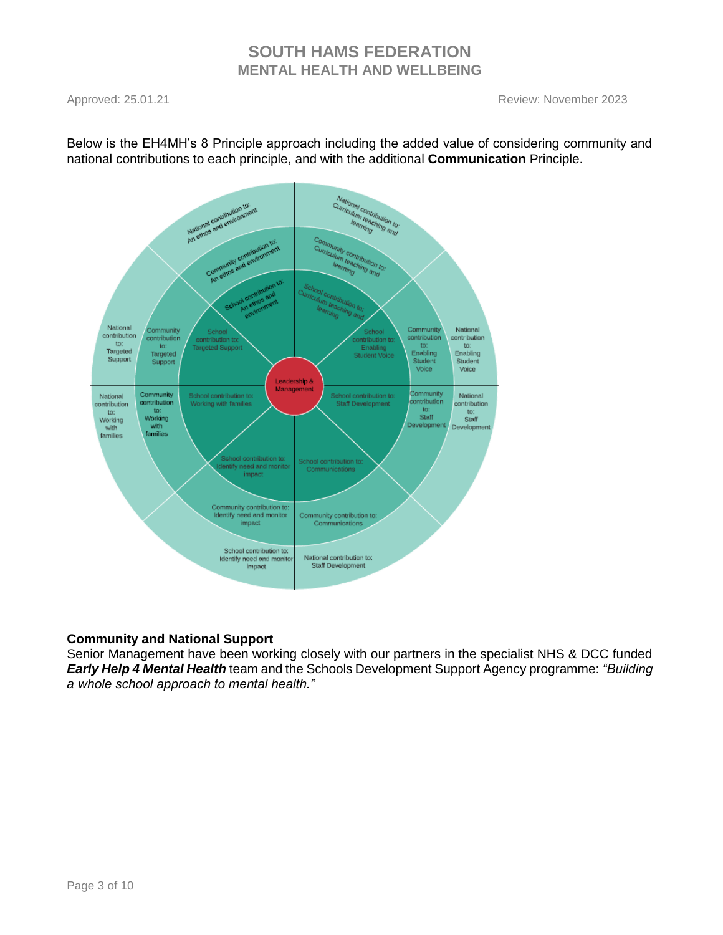Approved: 25.01.21 Review: November 2023



Below is the EH4MH's 8 Principle approach including the added value of considering community and national contributions to each principle, and with the additional **Communication** Principle.

# **Community and National Support**

Senior Management have been working closely with our partners in the specialist NHS & DCC funded *Early Help 4 Mental Health* team and the Schools Development Support Agency programme: *"Building a whole school approach to mental health."*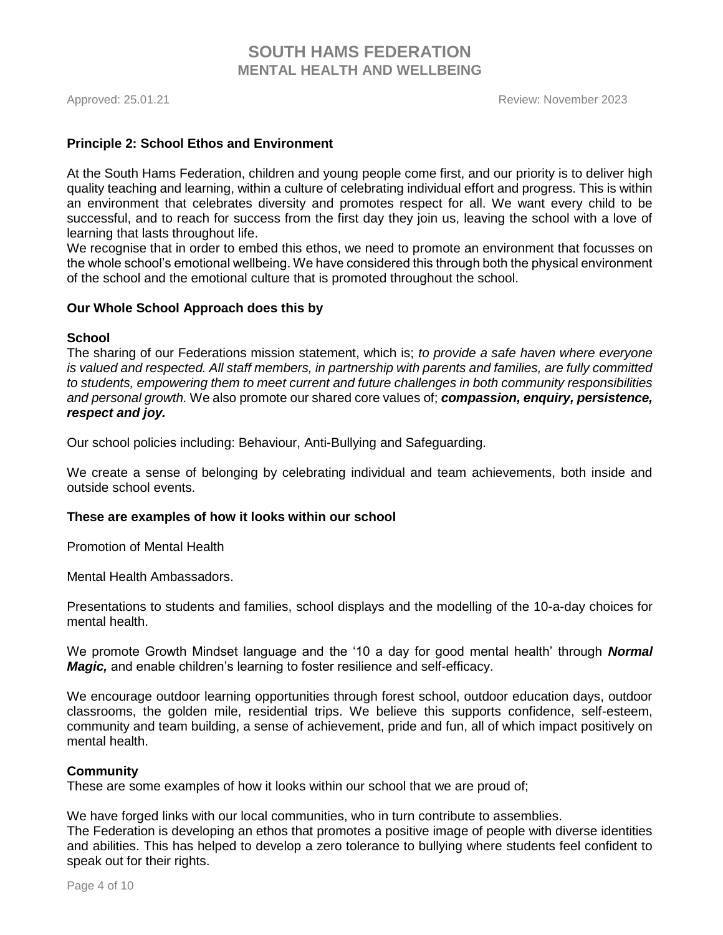### **Principle 2: School Ethos and Environment**

At the South Hams Federation, children and young people come first, and our priority is to deliver high quality teaching and learning, within a culture of celebrating individual effort and progress. This is within an environment that celebrates diversity and promotes respect for all. We want every child to be successful, and to reach for success from the first day they join us, leaving the school with a love of learning that lasts throughout life.

We recognise that in order to embed this ethos, we need to promote an environment that focusses on the whole school's emotional wellbeing. We have considered this through both the physical environment of the school and the emotional culture that is promoted throughout the school.

### **Our Whole School Approach does this by**

# **School**

The sharing of our Federations mission statement, which is; *to provide a safe haven where everyone is valued and respected. All staff members, in partnership with parents and families, are fully committed to students, empowering them to meet current and future challenges in both community responsibilities and personal growth.* We also promote our shared core values of; *compassion, enquiry, persistence, respect and joy.* 

Our school policies including: Behaviour, Anti-Bullying and Safeguarding.

We create a sense of belonging by celebrating individual and team achievements, both inside and outside school events.

### **These are examples of how it looks within our school**

Promotion of Mental Health

Mental Health Ambassadors.

Presentations to students and families, school displays and the modelling of the 10-a-day choices for mental health.

We promote Growth Mindset language and the '10 a day for good mental health' through *Normal Magic,* and enable children's learning to foster resilience and self-efficacy.

We encourage outdoor learning opportunities through forest school, outdoor education days, outdoor classrooms, the golden mile, residential trips. We believe this supports confidence, self-esteem, community and team building, a sense of achievement, pride and fun, all of which impact positively on mental health.

### **Community**

These are some examples of how it looks within our school that we are proud of;

We have forged links with our local communities, who in turn contribute to assemblies. The Federation is developing an ethos that promotes a positive image of people with diverse identities and abilities. This has helped to develop a zero tolerance to bullying where students feel confident to speak out for their rights.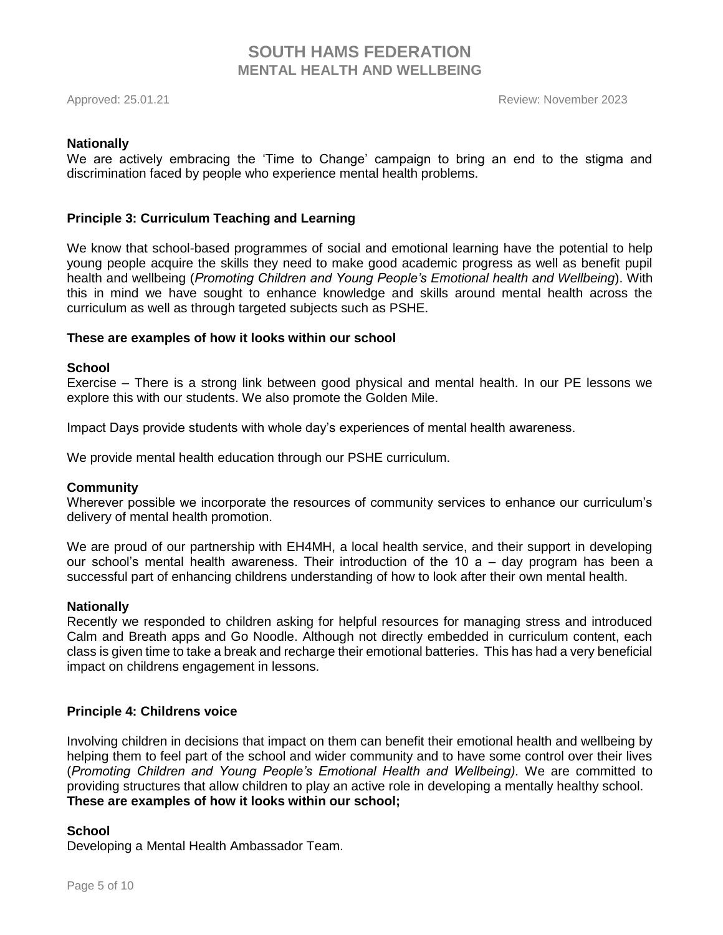### **Nationally**

We are actively embracing the 'Time to Change' campaign to bring an end to the stigma and discrimination faced by people who experience mental health problems.

## **Principle 3: Curriculum Teaching and Learning**

We know that school-based programmes of social and emotional learning have the potential to help young people acquire the skills they need to make good academic progress as well as benefit pupil health and wellbeing (*Promoting Children and Young People's Emotional health and Wellbeing*). With this in mind we have sought to enhance knowledge and skills around mental health across the curriculum as well as through targeted subjects such as PSHE.

### **These are examples of how it looks within our school**

### **School**

Exercise – There is a strong link between good physical and mental health. In our PE lessons we explore this with our students. We also promote the Golden Mile.

Impact Days provide students with whole day's experiences of mental health awareness.

We provide mental health education through our PSHE curriculum.

### **Community**

Wherever possible we incorporate the resources of community services to enhance our curriculum's delivery of mental health promotion.

We are proud of our partnership with EH4MH, a local health service, and their support in developing our school's mental health awareness. Their introduction of the 10 a – day program has been a successful part of enhancing childrens understanding of how to look after their own mental health.

### **Nationally**

Recently we responded to children asking for helpful resources for managing stress and introduced Calm and Breath apps and Go Noodle. Although not directly embedded in curriculum content, each class is given time to take a break and recharge their emotional batteries. This has had a very beneficial impact on childrens engagement in lessons.

## **Principle 4: Childrens voice**

Involving children in decisions that impact on them can benefit their emotional health and wellbeing by helping them to feel part of the school and wider community and to have some control over their lives (*Promoting Children and Young People's Emotional Health and Wellbeing).* We are committed to providing structures that allow children to play an active role in developing a mentally healthy school. **These are examples of how it looks within our school;**

## **School**

Developing a Mental Health Ambassador Team.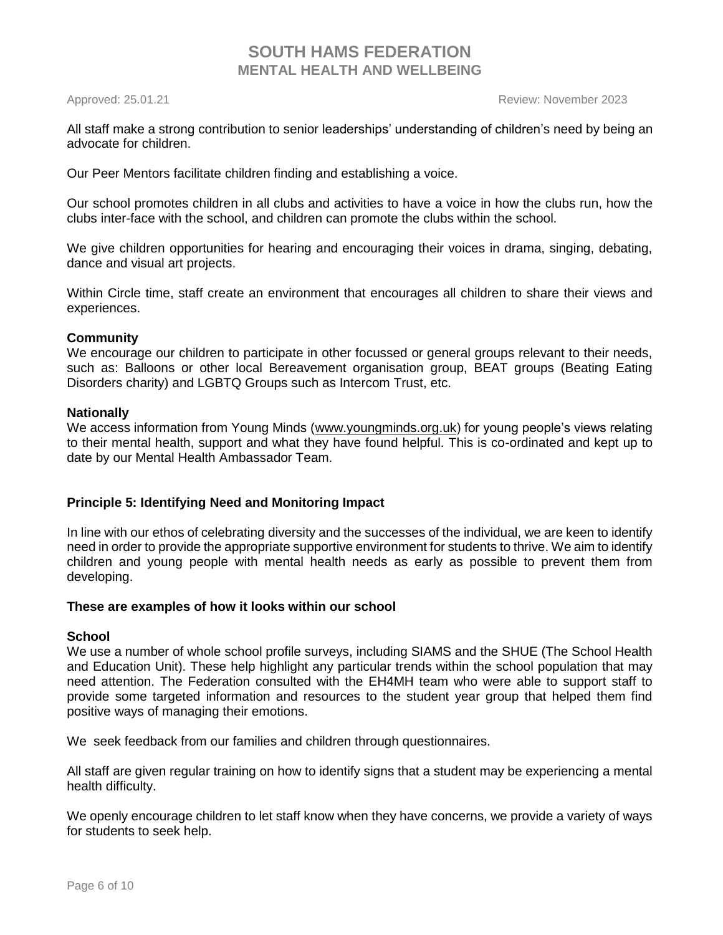Approved: 25.01.21 Review: November 2023

All staff make a strong contribution to senior leaderships' understanding of children's need by being an advocate for children.

Our Peer Mentors facilitate children finding and establishing a voice.

Our school promotes children in all clubs and activities to have a voice in how the clubs run, how the clubs inter-face with the school, and children can promote the clubs within the school.

We give children opportunities for hearing and encouraging their voices in drama, singing, debating, dance and visual art projects.

Within Circle time, staff create an environment that encourages all children to share their views and experiences.

# **Community**

We encourage our children to participate in other focussed or general groups relevant to their needs, such as: Balloons or other local Bereavement organisation group, BEAT groups (Beating Eating Disorders charity) and LGBTQ Groups such as Intercom Trust, etc.

## **Nationally**

We access information from Young Minds [\(www.youngminds.org.uk\)](http://www.youngminds.org.uk/) for young people's views relating to their mental health, support and what they have found helpful. This is co-ordinated and kept up to date by our Mental Health Ambassador Team.

# **Principle 5: Identifying Need and Monitoring Impact**

In line with our ethos of celebrating diversity and the successes of the individual, we are keen to identify need in order to provide the appropriate supportive environment for students to thrive. We aim to identify children and young people with mental health needs as early as possible to prevent them from developing.

## **These are examples of how it looks within our school**

## **School**

We use a number of whole school profile surveys, including SIAMS and the SHUE (The School Health and Education Unit). These help highlight any particular trends within the school population that may need attention. The Federation consulted with the EH4MH team who were able to support staff to provide some targeted information and resources to the student year group that helped them find positive ways of managing their emotions.

We seek feedback from our families and children through questionnaires.

All staff are given regular training on how to identify signs that a student may be experiencing a mental health difficulty.

We openly encourage children to let staff know when they have concerns, we provide a variety of ways for students to seek help.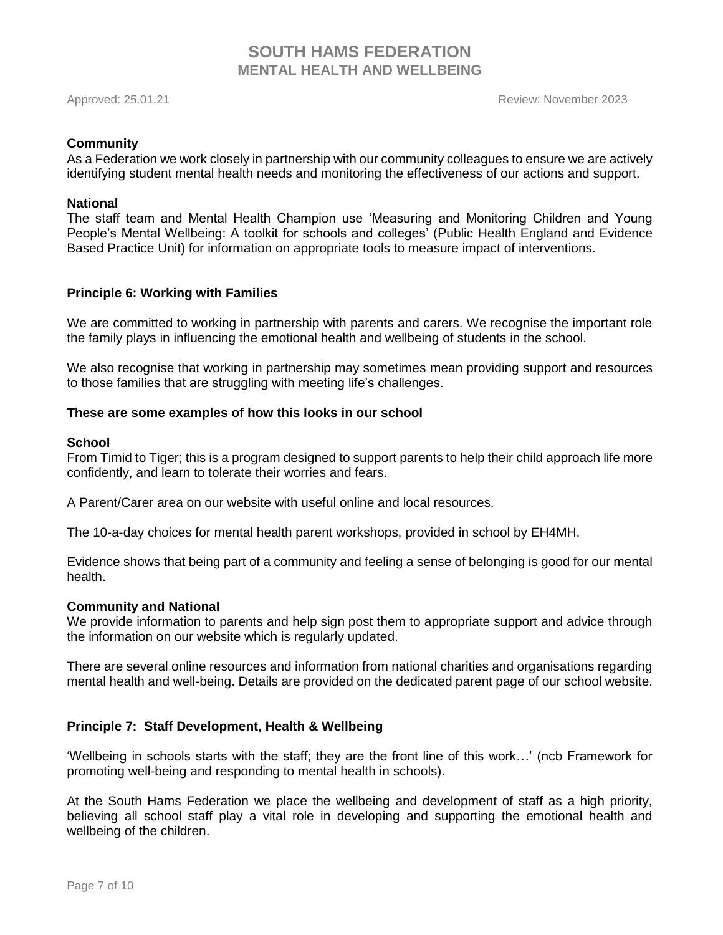Approved: 25.01.21 Review: November 2023

### **Community**

As a Federation we work closely in partnership with our community colleagues to ensure we are actively identifying student mental health needs and monitoring the effectiveness of our actions and support.

### **National**

The staff team and Mental Health Champion use 'Measuring and Monitoring Children and Young People's Mental Wellbeing: A toolkit for schools and colleges' (Public Health England and Evidence Based Practice Unit) for information on appropriate tools to measure impact of interventions.

## **Principle 6: Working with Families**

We are committed to working in partnership with parents and carers. We recognise the important role the family plays in influencing the emotional health and wellbeing of students in the school.

We also recognise that working in partnership may sometimes mean providing support and resources to those families that are struggling with meeting life's challenges.

### **These are some examples of how this looks in our school**

### **School**

From Timid to Tiger; this is a program designed to support parents to help their child approach life more confidently, and learn to tolerate their worries and fears.

A Parent/Carer area on our website with useful online and local resources.

The 10-a-day choices for mental health parent workshops, provided in school by EH4MH.

Evidence shows that being part of a community and feeling a sense of belonging is good for our mental health.

### **Community and National**

We provide information to parents and help sign post them to appropriate support and advice through the information on our website which is regularly updated.

There are several online resources and information from national charities and organisations regarding mental health and well-being. Details are provided on the dedicated parent page of our school website.

## **Principle 7: Staff Development, Health & Wellbeing**

'Wellbeing in schools starts with the staff; they are the front line of this work…' (ncb Framework for promoting well-being and responding to mental health in schools).

At the South Hams Federation we place the wellbeing and development of staff as a high priority, believing all school staff play a vital role in developing and supporting the emotional health and wellbeing of the children.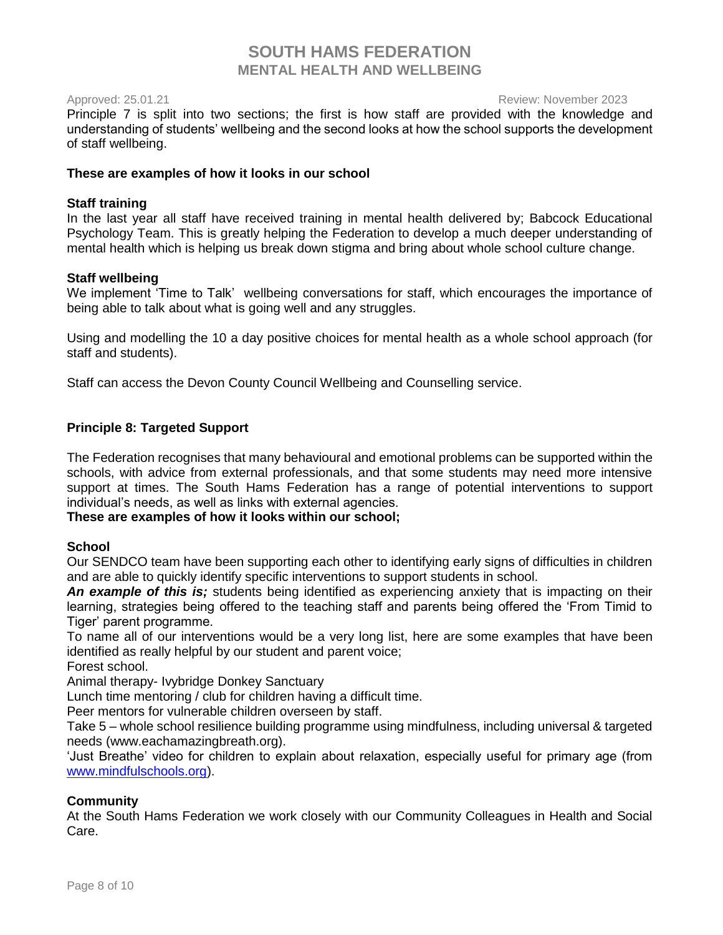Approved: 25.01.21 Review: November 2023

Principle 7 is split into two sections; the first is how staff are provided with the knowledge and understanding of students' wellbeing and the second looks at how the school supports the development of staff wellbeing.

# **These are examples of how it looks in our school**

# **Staff training**

In the last year all staff have received training in mental health delivered by; Babcock Educational Psychology Team. This is greatly helping the Federation to develop a much deeper understanding of mental health which is helping us break down stigma and bring about whole school culture change.

# **Staff wellbeing**

We implement 'Time to Talk' wellbeing conversations for staff, which encourages the importance of being able to talk about what is going well and any struggles.

Using and modelling the 10 a day positive choices for mental health as a whole school approach (for staff and students).

Staff can access the Devon County Council Wellbeing and Counselling service.

# **Principle 8: Targeted Support**

The Federation recognises that many behavioural and emotional problems can be supported within the schools, with advice from external professionals, and that some students may need more intensive support at times. The South Hams Federation has a range of potential interventions to support individual's needs, as well as links with external agencies.

## **These are examples of how it looks within our school;**

## **School**

Our SENDCO team have been supporting each other to identifying early signs of difficulties in children and are able to quickly identify specific interventions to support students in school.

*An example of this is;* students being identified as experiencing anxiety that is impacting on their learning, strategies being offered to the teaching staff and parents being offered the 'From Timid to Tiger' parent programme.

To name all of our interventions would be a very long list, here are some examples that have been identified as really helpful by our student and parent voice;

Forest school.

Animal therapy- Ivybridge Donkey Sanctuary

Lunch time mentoring / club for children having a difficult time.

Peer mentors for vulnerable children overseen by staff.

Take 5 – whole school resilience building programme using mindfulness, including universal & targeted needs (www.eachamazingbreath.org).

'Just Breathe' video for children to explain about relaxation, especially useful for primary age (from [www.mindfulschools.org\)](http://www.mindfulschools.org/).

## **Community**

At the South Hams Federation we work closely with our Community Colleagues in Health and Social Care.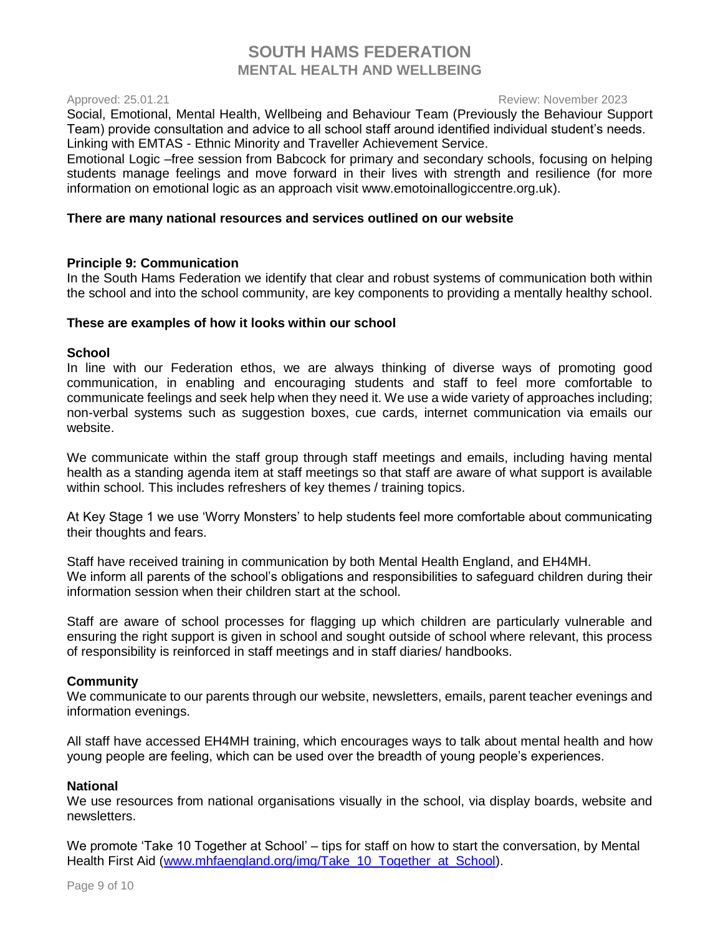### Approved: 25.01.21 Review: November 2023

Social, Emotional, Mental Health, Wellbeing and Behaviour Team (Previously the Behaviour Support Team) provide consultation and advice to all school staff around identified individual student's needs. Linking with EMTAS - Ethnic Minority and Traveller Achievement Service.

Emotional Logic –free session from Babcock for primary and secondary schools, focusing on helping students manage feelings and move forward in their lives with strength and resilience (for more information on emotional logic as an approach visit [www.emotoinallogiccentre.org.uk\)](http://www.emotoinallogiccentre.org.uk/).

## **There are many national resources and services outlined on our website**

### **Principle 9: Communication**

In the South Hams Federation we identify that clear and robust systems of communication both within the school and into the school community, are key components to providing a mentally healthy school.

### **These are examples of how it looks within our school**

### **School**

In line with our Federation ethos, we are always thinking of diverse ways of promoting good communication, in enabling and encouraging students and staff to feel more comfortable to communicate feelings and seek help when they need it. We use a wide variety of approaches including; non-verbal systems such as suggestion boxes, cue cards, internet communication via emails our website.

We communicate within the staff group through staff meetings and emails, including having mental health as a standing agenda item at staff meetings so that staff are aware of what support is available within school. This includes refreshers of key themes / training topics.

At Key Stage 1 we use 'Worry Monsters' to help students feel more comfortable about communicating their thoughts and fears.

Staff have received training in communication by both Mental Health England, and EH4MH. We inform all parents of the school's obligations and responsibilities to safeguard children during their information session when their children start at the school.

Staff are aware of school processes for flagging up which children are particularly vulnerable and ensuring the right support is given in school and sought outside of school where relevant, this process of responsibility is reinforced in staff meetings and in staff diaries/ handbooks.

## **Community**

We communicate to our parents through our website, newsletters, emails, parent teacher evenings and information evenings.

All staff have accessed EH4MH training, which encourages ways to talk about mental health and how young people are feeling, which can be used over the breadth of young people's experiences.

### **National**

We use resources from national organisations visually in the school, via display boards, website and newsletters.

We promote 'Take 10 Together at School' – tips for staff on how to start the conversation, by Mental Health First Aid [\(www.mhfaengland.org/img/Take\\_10\\_Together\\_at\\_School\)](http://www.mhfaengland.org/img/Take_10_Together_at_School).